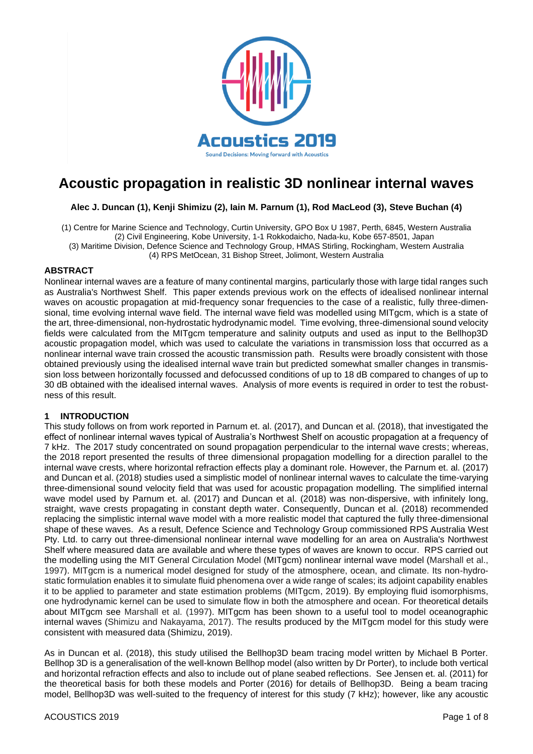

# **Acoustic propagation in realistic 3D nonlinear internal waves**

**Alec J. Duncan (1), Kenji Shimizu (2), Iain M. Parnum (1), Rod MacLeod (3), Steve Buchan (4)**

(1) Centre for Marine Science and Technology, Curtin University, GPO Box U 1987, Perth, 6845, Western Australia (2) Civil Engineering, Kobe University, 1-1 Rokkodaicho, Nada-ku, Kobe 657-8501, Japan (3) Maritime Division, Defence Science and Technology Group, HMAS Stirling, Rockingham, Western Australia (4) RPS MetOcean, 31 Bishop Street, Jolimont, Western Australia

## **ABSTRACT**

Nonlinear internal waves are a feature of many continental margins, particularly those with large tidal ranges such as Australia's Northwest Shelf. This paper extends previous work on the effects of idealised nonlinear internal waves on acoustic propagation at mid-frequency sonar frequencies to the case of a realistic, fully three-dimensional, time evolving internal wave field. The internal wave field was modelled using MITgcm, which is a state of the art, three-dimensional, non-hydrostatic hydrodynamic model. Time evolving, three-dimensional sound velocity fields were calculated from the MITgcm temperature and salinity outputs and used as input to the Bellhop3D acoustic propagation model, which was used to calculate the variations in transmission loss that occurred as a nonlinear internal wave train crossed the acoustic transmission path. Results were broadly consistent with those obtained previously using the idealised internal wave train but predicted somewhat smaller changes in transmission loss between horizontally focussed and defocussed conditions of up to 18 dB compared to changes of up to 30 dB obtained with the idealised internal waves. Analysis of more events is required in order to test the robustness of this result.

## **1 INTRODUCTION**

This study follows on from work reported in Parnum et. al. (2017), and Duncan et al. (2018), that investigated the effect of nonlinear internal waves typical of Australia's Northwest Shelf on acoustic propagation at a frequency of 7 kHz. The 2017 study concentrated on sound propagation perpendicular to the internal wave crests; whereas, the 2018 report presented the results of three dimensional propagation modelling for a direction parallel to the internal wave crests, where horizontal refraction effects play a dominant role. However, the Parnum et. al. (2017) and Duncan et al. (2018) studies used a simplistic model of nonlinear internal waves to calculate the time-varying three-dimensional sound velocity field that was used for acoustic propagation modelling. The simplified internal wave model used by Parnum et. al. (2017) and Duncan et al. (2018) was non-dispersive, with infinitely long, straight, wave crests propagating in constant depth water. Consequently, Duncan et al. (2018) recommended replacing the simplistic internal wave model with a more realistic model that captured the fully three-dimensional shape of these waves. As a result, Defence Science and Technology Group commissioned RPS Australia West Pty. Ltd. to carry out three-dimensional nonlinear internal wave modelling for an area on Australia's Northwest Shelf where measured data are available and where these types of waves are known to occur. RPS carried out the modelling using the MIT General Circulation Model (MITgcm) nonlinear internal wave model (Marshall et al., 1997). MITgcm is a numerical model designed for study of the atmosphere, ocean, and climate. Its non-hydrostatic formulation enables it to simulate fluid phenomena over a wide range of scales; its adjoint capability enables it to be applied to parameter and state estimation problems (MITgcm, 2019). By employing fluid isomorphisms, one hydrodynamic kernel can be used to simulate flow in both the atmosphere and ocean. For theoretical details about MITgcm see Marshall et al. (1997). MITgcm has been shown to a useful tool to model oceanographic internal waves (Shimizu and Nakayama, 2017). The results produced by the MITgcm model for this study were consistent with measured data (Shimizu, 2019).

As in Duncan et al. (2018), this study utilised the Bellhop3D beam tracing model written by Michael B Porter. Bellhop 3D is a generalisation of the well-known Bellhop model (also written by Dr Porter), to include both vertical and horizontal refraction effects and also to include out of plane seabed reflections. See Jensen et. al. (2011) for the theoretical basis for both these models and Porter (2016) for details of Bellhop3D. Being a beam tracing model, Bellhop3D was well-suited to the frequency of interest for this study (7 kHz); however, like any acoustic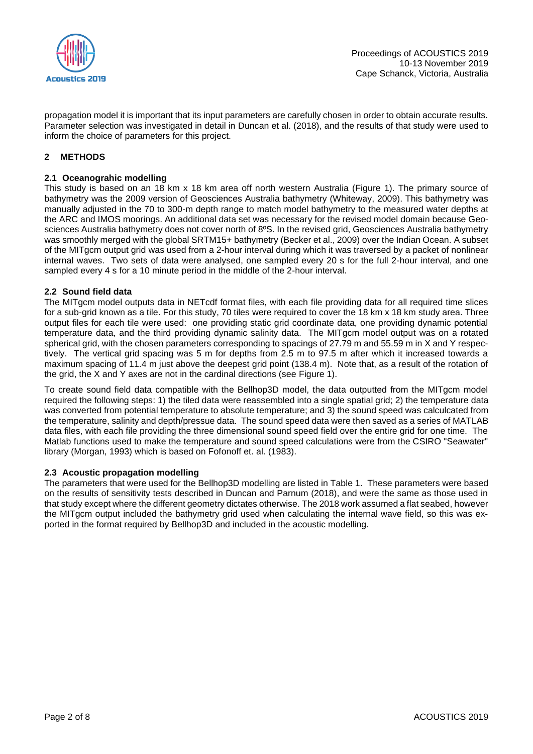

propagation model it is important that its input parameters are carefully chosen in order to obtain accurate results. Parameter selection was investigated in detail in Duncan et al. (2018), and the results of that study were used to inform the choice of parameters for this project.

## **2 METHODS**

## **2.1 Oceanograhic modelling**

This study is based on an 18 km x 18 km area off north western Australia (Figure 1). The primary source of bathymetry was the 2009 version of Geosciences Australia bathymetry (Whiteway, 2009). This bathymetry was manually adjusted in the 70 to 300-m depth range to match model bathymetry to the measured water depths at the ARC and IMOS moorings. An additional data set was necessary for the revised model domain because Geosciences Australia bathymetry does not cover north of 8°S. In the revised grid, Geosciences Australia bathymetry was smoothly merged with the global SRTM15+ bathymetry (Becker et al., 2009) over the Indian Ocean. A subset of the MITgcm output grid was used from a 2-hour interval during which it was traversed by a packet of nonlinear internal waves. Two sets of data were analysed, one sampled every 20 s for the full 2-hour interval, and one sampled every 4 s for a 10 minute period in the middle of the 2-hour interval.

## **2.2 Sound field data**

The MITgcm model outputs data in NETcdf format files, with each file providing data for all required time slices for a sub-grid known as a tile. For this study, 70 tiles were required to cover the 18 km x 18 km study area. Three output files for each tile were used: one providing static grid coordinate data, one providing dynamic potential temperature data, and the third providing dynamic salinity data. The MITgcm model output was on a rotated spherical grid, with the chosen parameters corresponding to spacings of 27.79 m and 55.59 m in X and Y respectively. The vertical grid spacing was 5 m for depths from 2.5 m to 97.5 m after which it increased towards a maximum spacing of 11.4 m just above the deepest grid point (138.4 m). Note that, as a result of the rotation of the grid, the X and Y axes are not in the cardinal directions (see [Figure 1\)](#page-2-0).

To create sound field data compatible with the Bellhop3D model, the data outputted from the MITgcm model required the following steps: 1) the tiled data were reassembled into a single spatial grid; 2) the temperature data was converted from potential temperature to absolute temperature; and 3) the sound speed was calculcated from the temperature, salinity and depth/pressue data. The sound speed data were then saved as a series of MATLAB data files, with each file providing the three dimensional sound speed field over the entire grid for one time. The Matlab functions used to make the temperature and sound speed calculations were from the CSIRO "Seawater" library (Morgan, 1993) which is based on Fofonoff et. al. (1983).

#### **2.3 Acoustic propagation modelling**

The parameters that were used for the Bellhop3D modelling are listed in [Table 1.](#page-2-1) These parameters were based on the results of sensitivity tests described in Duncan and Parnum (2018), and were the same as those used in that study except where the different geometry dictates otherwise. The 2018 work assumed a flat seabed, however the MITgcm output included the bathymetry grid used when calculating the internal wave field, so this was exported in the format required by Bellhop3D and included in the acoustic modelling.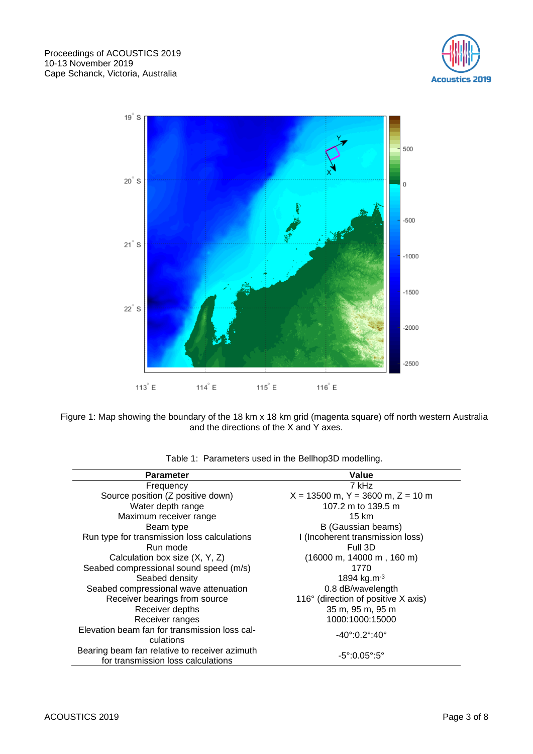



<span id="page-2-0"></span>Figure 1: Map showing the boundary of the 18 km x 18 km grid (magenta square) off north western Australia and the directions of the X and Y axes.

<span id="page-2-1"></span>

| <b>Parameter</b>                              | Value                                               |  |
|-----------------------------------------------|-----------------------------------------------------|--|
| Frequency                                     | 7 kHz                                               |  |
| Source position (Z positive down)             | $X = 13500$ m, $Y = 3600$ m, $Z = 10$ m             |  |
| Water depth range                             | 107.2 m to 139.5 m                                  |  |
| Maximum receiver range                        | 15 km                                               |  |
| Beam type                                     | B (Gaussian beams)                                  |  |
| Run type for transmission loss calculations   | I (Incoherent transmission loss)                    |  |
| Run mode                                      | Full 3D                                             |  |
| Calculation box size (X, Y, Z)                | $(16000 \text{ m}, 14000 \text{ m}, 160 \text{ m})$ |  |
| Seabed compressional sound speed (m/s)        | 1770                                                |  |
| Seabed density                                | 1894 kg.m $^{-3}$                                   |  |
| Seabed compressional wave attenuation         | 0.8 dB/wavelength                                   |  |
| Receiver bearings from source                 | 116° (direction of positive X axis)                 |  |
| 35 m, 95 m, 95 m<br>Receiver depths           |                                                     |  |
| Receiver ranges                               | 1000:1000:15000                                     |  |
| Elevation beam fan for transmission loss cal- | $-40^{\circ}$ :0.2°:40°                             |  |
| culations                                     |                                                     |  |
| Bearing beam fan relative to receiver azimuth | $-5^\circ:0.05^\circ:5^\circ$                       |  |
| for transmission loss calculations            |                                                     |  |

|  |  | Table 1: Parameters used in the Bellhop3D modelling. |
|--|--|------------------------------------------------------|
|  |  |                                                      |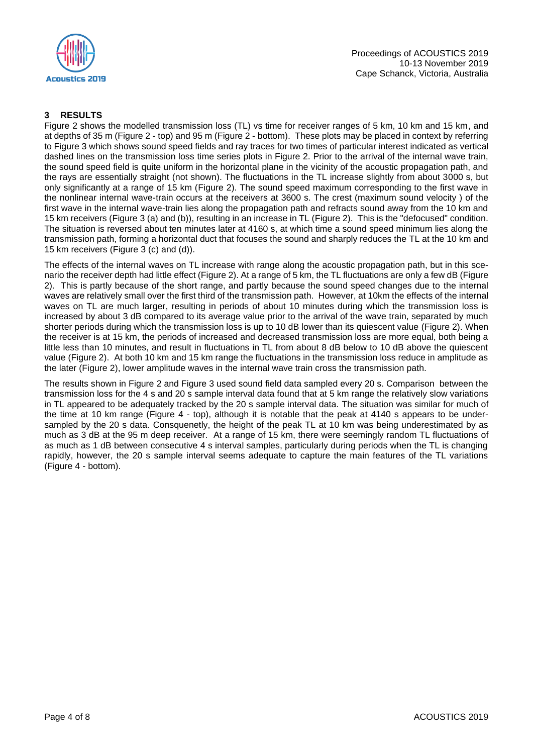

## **3 RESULTS**

Figure 2 shows the modelled transmission loss (TL) vs time for receiver ranges of 5 km, 10 km and 15 km, and at depths of 35 m (Figure 2 - top) and 95 m (Figure 2 - bottom). These plots may be placed in context by referring to Figure 3 which shows sound speed fields and ray traces for two times of particular interest indicated as vertical dashed lines on the transmission loss time series plots in Figure 2. Prior to the arrival of the internal wave train, the sound speed field is quite uniform in the horizontal plane in the vicinity of the acoustic propagation path, and the rays are essentially straight (not shown). The fluctuations in the TL increase slightly from about 3000 s, but only significantly at a range of 15 km (Figure 2). The sound speed maximum corresponding to the first wave in the nonlinear internal wave-train occurs at the receivers at 3600 s. The crest (maximum sound velocity ) of the first wave in the internal wave-train lies along the propagation path and refracts sound away from the 10 km and 15 km receivers (Figure 3 (a) and (b)), resulting in an increase in TL (Figure 2). This is the "defocused" condition. The situation is reversed about ten minutes later at 4160 s, at which time a sound speed minimum lies along the transmission path, forming a horizontal duct that focuses the sound and sharply reduces the TL at the 10 km and 15 km receivers (Figure 3 (c) and (d)).

The effects of the internal waves on TL increase with range along the acoustic propagation path, but in this scenario the receiver depth had little effect (Figure 2). At a range of 5 km, the TL fluctuations are only a few dB (Figure 2). This is partly because of the short range, and partly because the sound speed changes due to the internal waves are relatively small over the first third of the transmission path. However, at 10km the effects of the internal waves on TL are much larger, resulting in periods of about 10 minutes during which the transmission loss is increased by about 3 dB compared to its average value prior to the arrival of the wave train, separated by much shorter periods during which the transmission loss is up to 10 dB lower than its quiescent value (Figure 2). When the receiver is at 15 km, the periods of increased and decreased transmission loss are more equal, both being a little less than 10 minutes, and result in fluctuations in TL from about 8 dB below to 10 dB above the quiescent value (Figure 2). At both 10 km and 15 km range the fluctuations in the transmission loss reduce in amplitude as the later (Figure 2), lower amplitude waves in the internal wave train cross the transmission path.

The results shown in Figure 2 and Figure 3 used sound field data sampled every 20 s. Comparison between the transmission loss for the 4 s and 20 s sample interval data found that at 5 km range the relatively slow variations in TL appeared to be adequately tracked by the 20 s sample interval data. The situation was similar for much of the time at 10 km range (Figure 4 - top), although it is notable that the peak at 4140 s appears to be undersampled by the 20 s data. Consquenetly, the height of the peak TL at 10 km was being underestimated by as much as 3 dB at the 95 m deep receiver. At a range of 15 km, there were seemingly random TL fluctuations of as much as 1 dB between consecutive 4 s interval samples, particularly during periods when the TL is changing rapidly, however, the 20 s sample interval seems adequate to capture the main features of the TL variations (Figure 4 - bottom).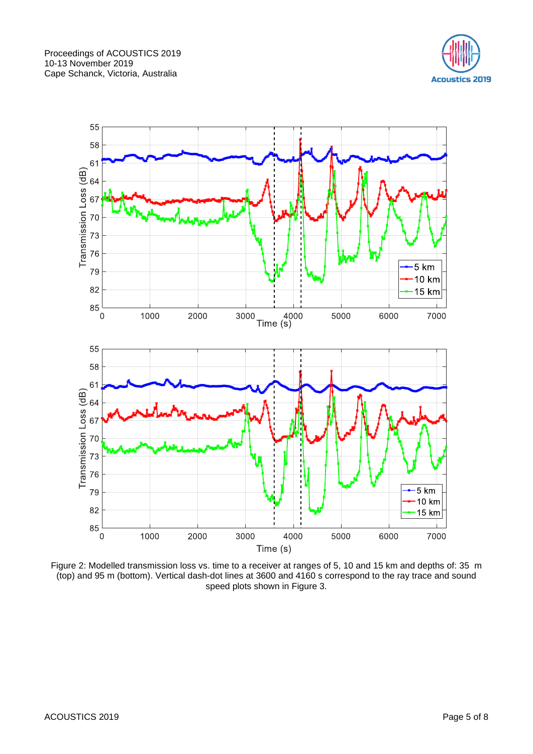



Figure 2: Modelled transmission loss vs. time to a receiver at ranges of 5, 10 and 15 km and depths of: 35 m (top) and 95 m (bottom). Vertical dash-dot lines at 3600 and 4160 s correspond to the ray trace and sound speed plots shown in Figure 3.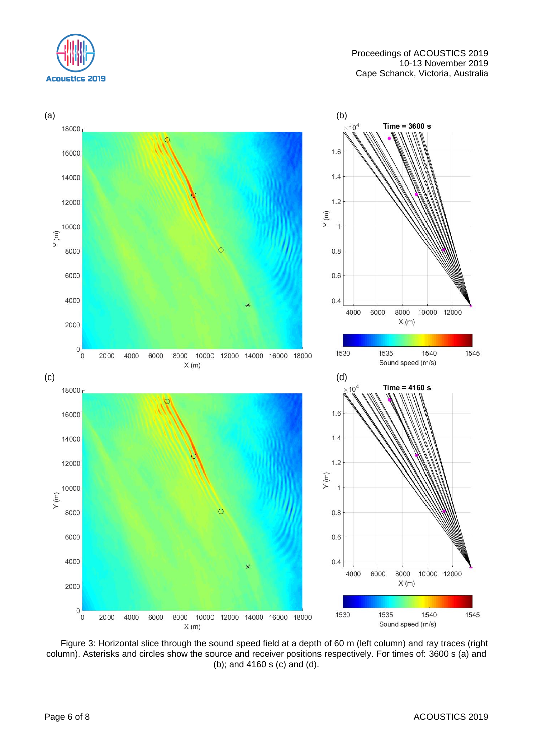

#### Proceedings of ACOUSTICS 2019 10-13 November 2019 Cape Schanck, Victoria, Australia



Figure 3: Horizontal slice through the sound speed field at a depth of 60 m (left column) and ray traces (right column). Asterisks and circles show the source and receiver positions respectively. For times of: 3600 s (a) and (b); and 4160 s (c) and (d).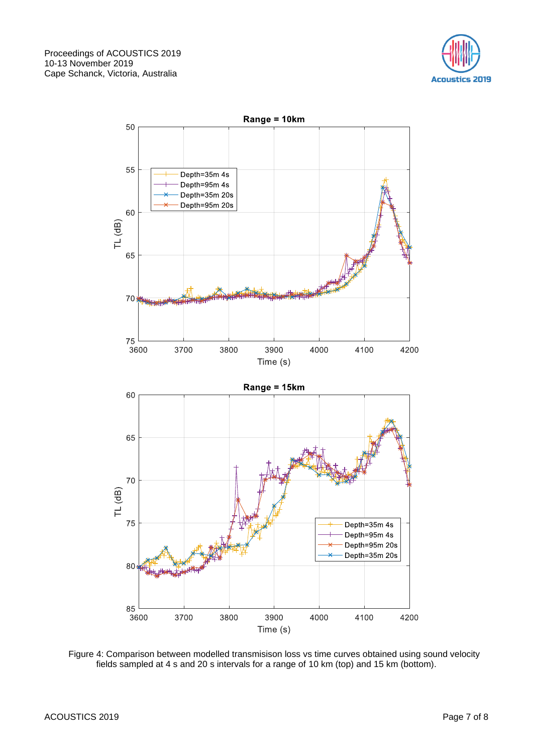



Figure 4: Comparison between modelled transmisison loss vs time curves obtained using sound velocity fields sampled at 4 s and 20 s intervals for a range of 10 km (top) and 15 km (bottom).